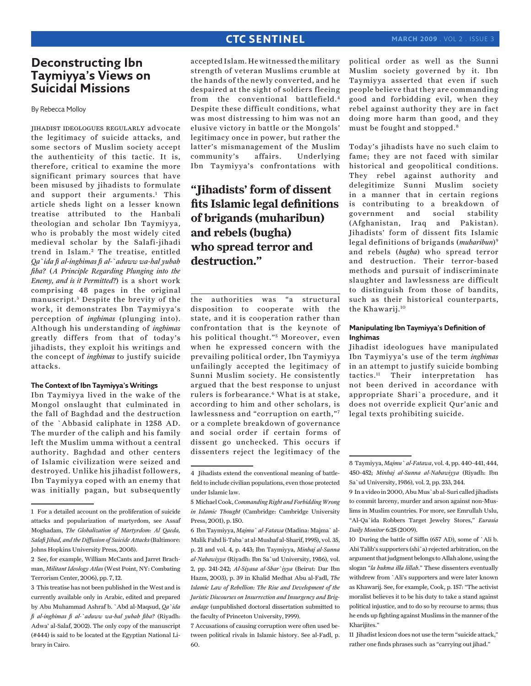### **CTC SENTINEL**

## **Deconstructing Ibn Taymiyya's Views on Suicidal Missions**

By Rebecca Molloy

jihadist ideologues regularly advocate the legitimacy of suicide attacks, and some sectors of Muslim society accept the authenticity of this tactic. It is, therefore, critical to examine the more significant primary sources that have been misused by jihadists to formulate and support their arguments.<sup>1</sup> This article sheds light on a lesser known treatise attributed to the Hanbali theologian and scholar Ibn Taymiyya, who is probably the most widely cited medieval scholar by the Salafi-jihadi trend in Islam.<sup>2</sup> The treatise, entitled *Qa`ida fi al-inghimas fi al-`aduww wa-hal yubah fiha?* (*A Principle Regarding Plunging into the Enemy, and is it Permitted?*) is a short work comprising 48 pages in the original manuscript.<sup>3</sup> Despite the brevity of the work, it demonstrates Ibn Taymiyya's perception of *inghimas* (plunging into). Although his understanding of *inghimas* greatly differs from that of today's jihadists, they exploit his writings and the concept of *inghimas* to justify suicide attacks.

#### **The Context of Ibn Taymiyya's Writings**

Ibn Taymiyya lived in the wake of the Mongol onslaught that culminated in the fall of Baghdad and the destruction of the `Abbasid caliphate in 1258 AD. The murder of the caliph and his family left the Muslim umma without a central authority. Baghdad and other centers of Islamic civilization were seized and destroyed. Unlike his jihadist followers, Ibn Taymiyya coped with an enemy that was initially pagan, but subsequently

accepted Islam. He witnessed the military strength of veteran Muslims crumble at the hands of the newly converted, and he despaired at the sight of soldiers fleeing from the conventional battlefield.4 Despite these difficult conditions, what was most distressing to him was not an elusive victory in battle or the Mongols' legitimacy once in power, but rather the latter's mismanagement of the Muslim community's affairs. Underlying Ibn Taymiyya's confrontations with

# **"Jihadists' form of dissent fits Islamic legal definitions of brigands (muharibun) and rebels (bugha) who spread terror and destruction."**

the authorities was "a structural disposition to cooperate with the state, and it is cooperation rather than confrontation that is the keynote of his political thought."<sup>5</sup> Moreover, even when he expressed concern with the prevailing political order, Ibn Taymiyya unfailingly accepted the legitimacy of Sunni Muslim society. He consistently argued that the best response to unjust rulers is forbearance.<sup>6</sup> What is at stake, according to him and other scholars, is lawlessness and "corruption on earth,"7 or a complete breakdown of governance and social order if certain forms of dissent go unchecked. This occurs if dissenters reject the legitimacy of the

7 Accusations of causing corruption were often used between political rivals in Islamic history. See al-Fadl, p. 60.

political order as well as the Sunni Muslim society governed by it. Ibn Taymiyya asserted that even if such people believe that they are commanding good and forbidding evil, when they rebel against authority they are in fact doing more harm than good, and they must be fought and stopped.8

Today's jihadists have no such claim to fame; they are not faced with similar historical and geopolitical conditions. They rebel against authority and delegitimize Sunni Muslim society in a manner that in certain regions is contributing to a breakdown of government and social stability (Afghanistan, Iraq and Pakistan). Jihadists' form of dissent fits Islamic legal definitions of brigands (*muharibun*)9 and rebels (*bugha*) who spread terror and destruction. Their terror-based methods and pursuit of indiscriminate slaughter and lawlessness are difficult to distinguish from those of bandits, such as their historical counterparts, the Khawarij.10

### **Manipulating Ibn Taymiyya's Definition of Inghimas**

Jihadist ideologues have manipulated Ibn Taymiyya's use of the term *inghimas* in an attempt to justify suicide bombing tactics.11 Their interpretation has not been derived in accordance with appropriate Shari`a procedure, and it does not override explicit Qur'anic and legal texts prohibiting suicide.

11 Jihadist lexicon does not use the term "suicide attack," rather one finds phrases such as "carrying out jihad."

<sup>1</sup> For a detailed account on the proliferation of suicide attacks and popularization of martyrdom, see Assaf Moghadam, *The Globalization of Martyrdom: Al Qaeda, Salafi Jihad, and the Diffusion of Suicide Attacks* (Baltimore: Johns Hopkins University Press, 2008).

<sup>2</sup> See, for example, William McCants and Jarret Brachman, *Militant Ideology Atlas* (West Point, NY: Combating Terrorism Center, 2006), pp. 7, 12.

<sup>3</sup> This treatise has not been published in the West and is currently available only in Arabic, edited and prepared by Abu Muhammad Ashraf b. `Abd al-Maqsud, *Qa`ida fi al-inghimas fi al-`aduww wa-hal yubah fiha?* (Riyadh: Adwa' al-Salaf, 2002). The only copy of the manuscript (#444) is said to be located at the Egyptian National Library in Cairo.

<sup>4</sup> Jihadists extend the conventional meaning of battlefield to include civilian populations, even those protected under Islamic law.

<sup>5</sup> Michael Cook, *Commanding Right and Forbidding Wrong in Islamic Thought* (Cambridge: Cambridge University Press, 2001), p. 150.

<sup>6</sup> Ibn Taymiyya, *Majmu` al-Fatawa* (Madina: Majma` al-Malik Fahd li-Taba`at al-Mushaf al-Sharif, 1995), vol. 35, p. 21 and vol. 4, p. 443; Ibn Taymiyya, *Minhaj al-Sunna al-Nabawiyya* (Riyadh: Ibn Sa`ud University, 1986), vol. 2, pp. 241-242; *Al-Siyasa al-Shar`iyya* (Beirut: Dar Ibn Hazm, 2003), p. 39 in Khalid Medhat Abu al-Fadl, *The Islamic Law of Rebellion: The Rise and Development of the Juristic Discourses on Insurrection and Insurgency and Brigandage* (unpublished doctoral dissertation submitted to the faculty of Princeton University, 1999).

<sup>8</sup> Taymiyya, *Majmu` al-Fatawa*, vol. 4, pp. 440-441, 444, 450-452; *Minhaj al-Sunna al-Nabawiyya* (Riyadh: Ibn Sa`ud University, 1986), vol. 2, pp. 233, 244.

<sup>9</sup> In a video in 2000, Abu Mus`ab al-Suri called jihadists to commit larceny, murder and arson against non-Muslims in Muslim countries. For more, see Emrullah Uslu, "Al-Qa`ida Robbers Target Jewelry Stores," *Eurasia Daily Monitor* 6:25 (2009).

<sup>10</sup> During the battle of Siffin (657 AD), some of `Ali b. Abi Talib's supporters (shi`a) rejected arbitration, on the argument that judgment belongs to Allah alone, using the slogan "*la hukma illa lillah*." These dissenters eventually withdrew from `Ali's supporters and were later known as Khawarij. See, for example, Cook, p. 157: "The activist moralist believes it to be his duty to take a stand against political injustice, and to do so by recourse to arms; thus he ends up fighting against Muslims in the manner of the Kharijites."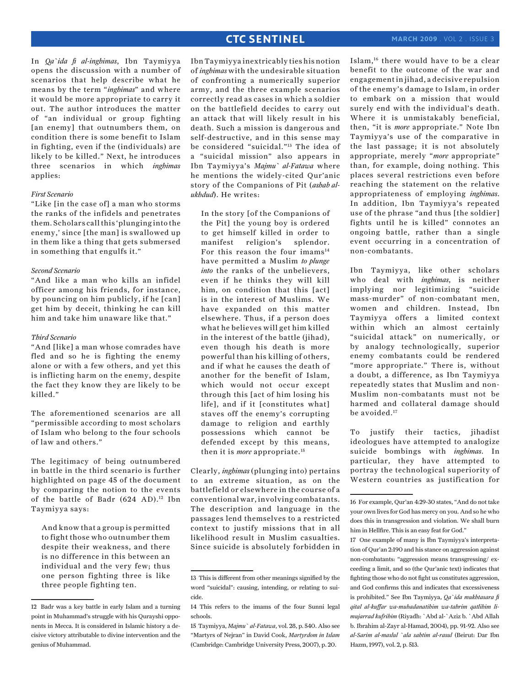### **CTC SENTINEL**

In *Qa`ida fi al-inghimas*, Ibn Taymiyya opens the discussion with a number of scenarios that help describe what he means by the term "*inghimas*" and where it would be more appropriate to carry it out. The author introduces the matter of "an individual or group fighting [an enemy] that outnumbers them, on condition there is some benefit to Islam in fighting, even if the (individuals) are likely to be killed." Next, he introduces three scenarios in which *inghimas* applies:

### *First Scenario*

"Like [in the case of] a man who storms the ranks of the infidels and penetrates them. Scholars call this 'plunging into the enemy,' since [the man] is swallowed up in them like a thing that gets submersed in something that engulfs it."

### *Second Scenario*

"And like a man who kills an infidel officer among his friends, for instance, by pouncing on him publicly, if he [can] get him by deceit, thinking he can kill him and take him unaware like that."

### *Third Scenario*

"And [like] a man whose comrades have fled and so he is fighting the enemy alone or with a few others, and yet this is inflicting harm on the enemy, despite the fact they know they are likely to be killed."

The aforementioned scenarios are all "permissible according to most scholars of Islam who belong to the four schools of law and others."

The legitimacy of being outnumbered in battle in the third scenario is further highlighted on page 45 of the document by comparing the notion to the events of the battle of Badr (624 AD).<sup>12</sup> Ibn Taymiyya says:

And know that a group is permitted to fight those who outnumber them despite their weakness, and there is no difference in this between an individual and the very few; thus one person fighting three is like three people fighting ten.

Ibn Taymiyya inextricably ties his notion of *inghimas* with the undesirable situation of confronting a numerically superior army, and the three example scenarios correctly read as cases in which a soldier on the battlefield decides to carry out an attack that will likely result in his death. Such a mission is dangerous and self-destructive, and in this sense may be considered "suicidal."13 The idea of a "suicidal mission" also appears in Ibn Taymiyya's *Majmu` al-Fatawa* where he mentions the widely-cited Qur'anic story of the Companions of Pit (*ashab alukhdud*). He writes:

In the story [of the Companions of the Pit] the young boy is ordered to get himself killed in order to manifest religion's splendor. For this reason the four imams<sup>14</sup> have permitted a Muslim *to plunge into* the ranks of the unbelievers, even if he thinks they will kill him, on condition that this [act] is in the interest of Muslims. We have expanded on this matter elsewhere. Thus, if a person does what he believes will get him killed in the interest of the battle (jihad), even though his death is more powerful than his killing of others, and if what he causes the death of another for the benefit of Islam, which would not occur except through this [act of him losing his life], and if it [constitutes what] staves off the enemy's corrupting damage to religion and earthly possessions which cannot be defended except by this means, then it is *more* appropriate.15

Clearly, *inghimas* (plunging into) pertains to an extreme situation, as on the battlefield or elsewhere in the course of a conventional war, involving combatants. The description and language in the passages lend themselves to a restricted context to justify missions that in all likelihood result in Muslim casualties. Since suicide is absolutely forbidden in Islam,16 there would have to be a clear benefit to the outcome of the war and engagement in jihad, a decisive repulsion of the enemy's damage to Islam, in order to embark on a mission that would surely end with the individual's death. Where it is unmistakably beneficial, then, "it is *more* appropriate." Note Ibn Taymiyya's use of the comparative in the last passage; it is not absolutely appropriate, merely "*more* appropriate" than, for example, doing nothing. This places several restrictions even before reaching the statement on the relative appropriateness of employing *inghimas*. In addition, Ibn Taymiyya's repeated use of the phrase "and thus [the soldier] fights until he is killed" connotes an ongoing battle, rather than a single event occurring in a concentration of non-combatants.

Ibn Taymiyya, like other scholars who deal with *inghimas*, is neither implying nor legitimizing "suicide mass-murder" of non-combatant men, women and children. Instead, Ibn Taymiyya offers a limited context within which an almost certainly "suicidal attack" on numerically, or by analogy technologically, superior enemy combatants could be rendered "more appropriate." There is, without a doubt, a difference, as Ibn Taymiyya repeatedly states that Muslim and non-Muslim non-combatants must not be harmed and collateral damage should be avoided.<sup>17</sup>

To justify their tactics, jihadist ideologues have attempted to analogize suicide bombings with *inghimas*. In particular, they have attempted to portray the technological superiority of Western countries as justification for

<sup>12</sup> Badr was a key battle in early Islam and a turning point in Muhammad's struggle with his Qurayshi opponents in Mecca. It is considered in Islamic history a decisive victory attributable to divine intervention and the genius of Muhammad.

<sup>13</sup> This is different from other meanings signified by the word "suicidal": causing, intending, or relating to suicide.

<sup>14</sup> This refers to the imams of the four Sunni legal schools.

<sup>15</sup> Taymiyya, *Majmu` al-Fatawa*, vol. 28, p. 540. Also see "Martyrs of Nejran" in David Cook, *Martyrdom in Islam* (Cambridge: Cambridge University Press, 2007), p. 20.

<sup>16</sup> For example, Qur'an 4:29-30 states, "And do not take your own lives for God has mercy on you. And so he who does this in transgression and violation. We shall burn him in Hellfire. This is an easy feat for God."

<sup>17</sup> One example of many is Ibn Taymiyya's interpretation of Qur'an 2:190 and his stance on aggression against non-combatants: "aggression means transgressing/ exceeding a limit, and so (the Qur'anic text) indicates that fighting those who do not fight us constitutes aggression, and God confirms this and indicates that excessiveness is prohibited." See Ibn Taymiyya, *Qa`ida mukhtasara fi qital al-kuffar wa-muhadanatihim wa-tahrim qatlihim limujarrad kufrihim* (Riyadh: `Abd al-`Aziz b. `Abd Allah b. Ibrahim al-Zayr al-Hamad, 2004), pp. 91-92. Also see *al-Sarim al-maslul `ala sahtim al-rasul* (Beirut: Dar Ibn Hazm, 1997), vol. 2, p. 513.